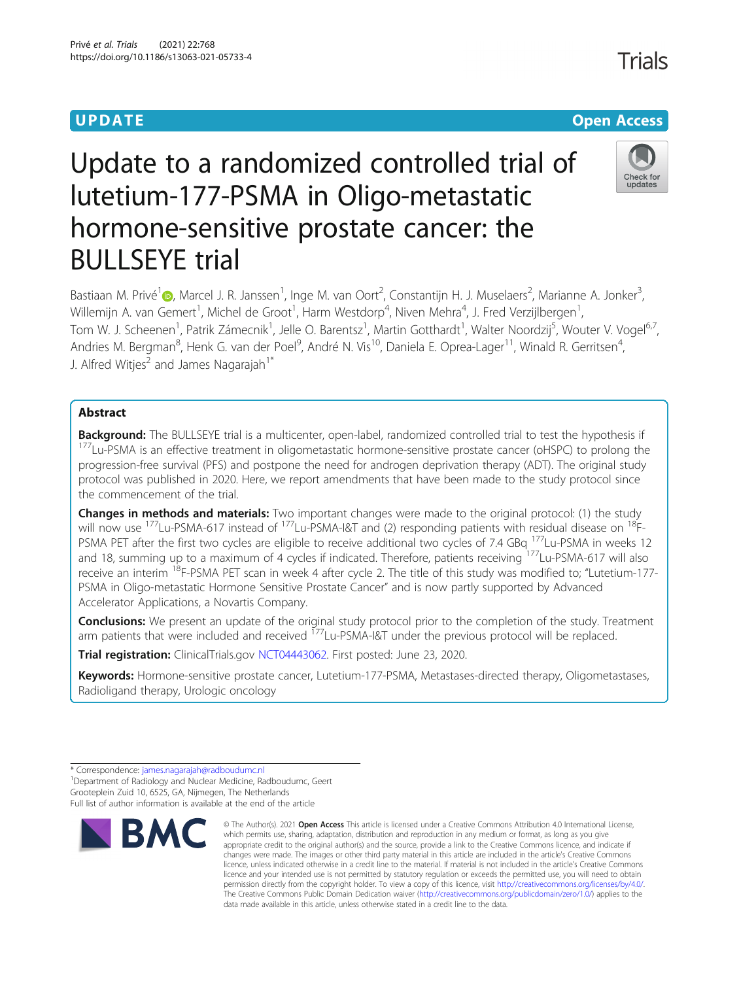# **UPDATE CONSERVATION CONSERVATION**

# Update to a randomized controlled trial of lutetium-177-PSMA in Oligo-metastatic hormone-sensitive prostate cancer: the BULLSEYE trial

Bastiaan M. Privé<sup>1</sup>@, Marcel J. R. Janssen<sup>1</sup>, Inge M. van Oort<sup>2</sup>, Constantijn H. J. Muselaers<sup>2</sup>, Marianne A. Jonker<sup>3</sup> , Willemijn A. van Gemert<sup>1</sup>, Michel de Groot<sup>1</sup>, Harm Westdorp<sup>4</sup>, Niven Mehra<sup>4</sup>, J. Fred Verzijlbergen<sup>1</sup> , Tom W. J. Scheenen<sup>1</sup>, Patrik Zámecnik<sup>1</sup>, Jelle O. Barentsz<sup>1</sup>, Martin Gotthardt<sup>1</sup>, Walter Noordzij<sup>5</sup>, Wouter V. Vogel<sup>6,7</sup>, Andries M. Bergman<sup>8</sup>, Henk G. van der Poel<sup>9</sup>, André N. Vis<sup>10</sup>, Daniela E. Oprea-Lager<sup>11</sup>, Winald R. Gerritsen<sup>4</sup> , J. Alfred Witjes<sup>2</sup> and James Nagarajah<sup>1\*</sup>

## Abstract

**Background:** The BULLSEYE trial is a multicenter, open-label, randomized controlled trial to test the hypothesis if<br><sup>177</sup>Lu-PSMA is an effective treatment in oligometastatic hormone-sensitive prostate cancer (oHSPC) to pr progression-free survival (PFS) and postpone the need for androgen deprivation therapy (ADT). The original study protocol was published in 2020. Here, we report amendments that have been made to the study protocol since the commencement of the trial.

**Changes in methods and materials:** Two important changes were made to the original protocol: (1) the study will now use <sup>177</sup>Lu-PSMA-617 instead of <sup>177</sup>Lu-PSMA-I&T and (2) responding patients with residual disease on <sup>18</sup>F-PSMA PET after the first two cycles are eligible to receive additional two cycles of 7.4 GBq <sup>177</sup>Lu-PSMA in weeks 12 and 18, summing up to a maximum of 4 cycles if indicated. Therefore, patients receiving <sup>177</sup>Lu-PSMA-617 will also receive an interim <sup>18</sup>F-PSMA PET scan in week 4 after cycle 2. The title of this study was modified to; "Lutetium-177-PSMA in Oligo-metastatic Hormone Sensitive Prostate Cancer" and is now partly supported by Advanced Accelerator Applications, a Novartis Company.

Conclusions: We present an update of the original study protocol prior to the completion of the study. Treatment arm patients that were included and received <sup>177</sup>Lu-PSMA-I&T under the previous protocol will be replaced.

**Trial registration:** ClinicalTrials.gov [NCT04443062](https://clinicaltrials.gov/ct2/show/NCT04443062). First posted: June 23, 2020.

Keywords: Hormone-sensitive prostate cancer, Lutetium-177-PSMA, Metastases-directed therapy, Oligometastases, Radioligand therapy, Urologic oncology

data made available in this article, unless otherwise stated in a credit line to the data.

<sup>1</sup> Department of Radiology and Nuclear Medicine, Radboudumc, Geert Grooteplein Zuid 10, 6525, GA, Nijmegen, The Netherlands Full list of author information is available at the end of the article





© The Author(s), 2021 **Open Access** This article is licensed under a Creative Commons Attribution 4.0 International License,

<sup>\*</sup> Correspondence: [james.nagarajah@radboudumc.nl](mailto:james.nagarajah@radboudumc.nl) <sup>1</sup>

Trials

which permits use, sharing, adaptation, distribution and reproduction in any medium or format, as long as you give appropriate credit to the original author(s) and the source, provide a link to the Creative Commons licence, and indicate if changes were made. The images or other third party material in this article are included in the article's Creative Commons licence, unless indicated otherwise in a credit line to the material. If material is not included in the article's Creative Commons licence and your intended use is not permitted by statutory regulation or exceeds the permitted use, you will need to obtain permission directly from the copyright holder. To view a copy of this licence, visit [http://creativecommons.org/licenses/by/4.0/.](http://creativecommons.org/licenses/by/4.0/) The Creative Commons Public Domain Dedication waiver [\(http://creativecommons.org/publicdomain/zero/1.0/](http://creativecommons.org/publicdomain/zero/1.0/)) applies to the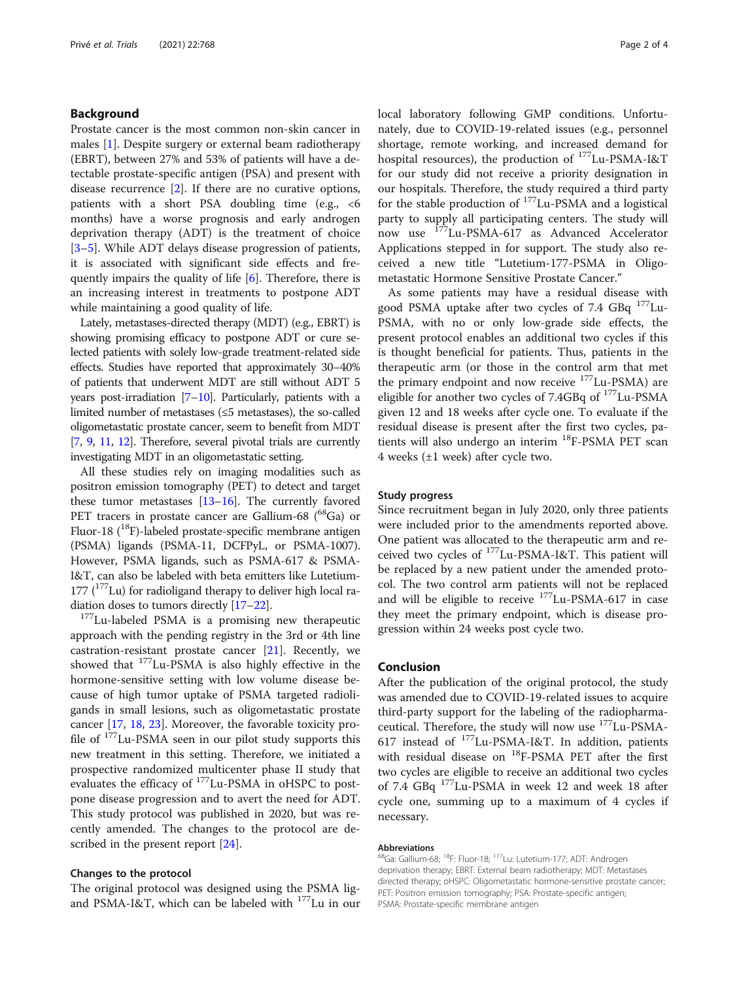#### Background

Prostate cancer is the most common non-skin cancer in males [\[1](#page-2-0)]. Despite surgery or external beam radiotherapy (EBRT), between 27% and 53% of patients will have a detectable prostate-specific antigen (PSA) and present with disease recurrence [\[2](#page-2-0)]. If there are no curative options, patients with a short PSA doubling time (e.g., <6 months) have a worse prognosis and early androgen deprivation therapy (ADT) is the treatment of choice [[3](#page-2-0)–[5\]](#page-2-0). While ADT delays disease progression of patients, it is associated with significant side effects and frequently impairs the quality of life [[6\]](#page-2-0). Therefore, there is an increasing interest in treatments to postpone ADT while maintaining a good quality of life.

Lately, metastases-directed therapy (MDT) (e.g., EBRT) is showing promising efficacy to postpone ADT or cure selected patients with solely low-grade treatment-related side effects. Studies have reported that approximately 30–40% of patients that underwent MDT are still without ADT 5 years post-irradiation [\[7](#page-2-0)–[10\]](#page-2-0). Particularly, patients with a limited number of metastases (≤5 metastases), the so-called oligometastatic prostate cancer, seem to benefit from MDT [[7](#page-2-0), [9,](#page-2-0) [11,](#page-2-0) [12\]](#page-2-0). Therefore, several pivotal trials are currently investigating MDT in an oligometastatic setting.

All these studies rely on imaging modalities such as positron emission tomography (PET) to detect and target these tumor metastases  $[13-16]$  $[13-16]$  $[13-16]$  $[13-16]$ . The currently favored PET tracers in prostate cancer are Gallium-68 (<sup>68</sup>Ga) or Fluor-18  $(^{18}F)$ -labeled prostate-specific membrane antigen (PSMA) ligands (PSMA-11, DCFPyL, or PSMA-1007). However, PSMA ligands, such as PSMA-617 & PSMA-I&T, can also be labeled with beta emitters like Lutetium-177 ( $177$ Lu) for radioligand therapy to deliver high local radiation doses to tumors directly  $[17–22]$  $[17–22]$  $[17–22]$  $[17–22]$ .<br><sup>177</sup>Lu-labeled PSMA is a promising new therapeutic

approach with the pending registry in the 3rd or 4th line castration-resistant prostate cancer [\[21](#page-3-0)]. Recently, we showed that 177Lu-PSMA is also highly effective in the hormone-sensitive setting with low volume disease because of high tumor uptake of PSMA targeted radioligands in small lesions, such as oligometastatic prostate cancer [[17](#page-2-0), [18,](#page-2-0) [23\]](#page-3-0). Moreover, the favorable toxicity profile of 177Lu-PSMA seen in our pilot study supports this new treatment in this setting. Therefore, we initiated a prospective randomized multicenter phase II study that evaluates the efficacy of <sup>177</sup>Lu-PSMA in oHSPC to postpone disease progression and to avert the need for ADT. This study protocol was published in 2020, but was recently amended. The changes to the protocol are described in the present report [[24\]](#page-3-0).

#### Changes to the protocol

The original protocol was designed using the PSMA ligand PSMA-I&T, which can be labeled with <sup>177</sup>Lu in our local laboratory following GMP conditions. Unfortunately, due to COVID-19-related issues (e.g., personnel shortage, remote working, and increased demand for hospital resources), the production of 177Lu-PSMA-I&T for our study did not receive a priority designation in our hospitals. Therefore, the study required a third party for the stable production of 177Lu-PSMA and a logistical party to supply all participating centers. The study will now use 177Lu-PSMA-617 as Advanced Accelerator Applications stepped in for support. The study also received a new title "Lutetium-177-PSMA in Oligometastatic Hormone Sensitive Prostate Cancer."

As some patients may have a residual disease with good PSMA uptake after two cycles of 7.4 GBq  $177$ Lu-PSMA, with no or only low-grade side effects, the present protocol enables an additional two cycles if this is thought beneficial for patients. Thus, patients in the therapeutic arm (or those in the control arm that met the primary endpoint and now receive  $177$ Lu-PSMA) are eligible for another two cycles of 7.4GBq of <sup>177</sup>Lu-PSMA given 12 and 18 weeks after cycle one. To evaluate if the residual disease is present after the first two cycles, patients will also undergo an interim <sup>18</sup>F-PSMA PET scan 4 weeks (±1 week) after cycle two.

#### Study progress

Since recruitment began in July 2020, only three patients were included prior to the amendments reported above. One patient was allocated to the therapeutic arm and received two cycles of 177Lu-PSMA-I&T. This patient will be replaced by a new patient under the amended protocol. The two control arm patients will not be replaced and will be eligible to receive  $177$ Lu-PSMA-617 in case they meet the primary endpoint, which is disease progression within 24 weeks post cycle two.

#### Conclusion

After the publication of the original protocol, the study was amended due to COVID-19-related issues to acquire third-party support for the labeling of the radiopharmaceutical. Therefore, the study will now use <sup>177</sup>Lu-PSMA-617 instead of 177Lu-PSMA-I&T. In addition, patients with residual disease on <sup>18</sup>F-PSMA PET after the first two cycles are eligible to receive an additional two cycles of 7.4 GBq 177Lu-PSMA in week 12 and week 18 after cycle one, summing up to a maximum of 4 cycles if necessary.

#### Abbreviations

<sup>68</sup>Ga: Gallium-68; <sup>18</sup>F: Fluor-18; <sup>177</sup>Lu: Lutetium-177; ADT: Androgen deprivation therapy; EBRT: External beam radiotherapy; MDT: Metastases directed therapy; oHSPC: Oligometastatic hormone-sensitive prostate cancer; PET: Positron emission tomography; PSA: Prostate-specific antigen; PSMA: Prostate-specific membrane antigen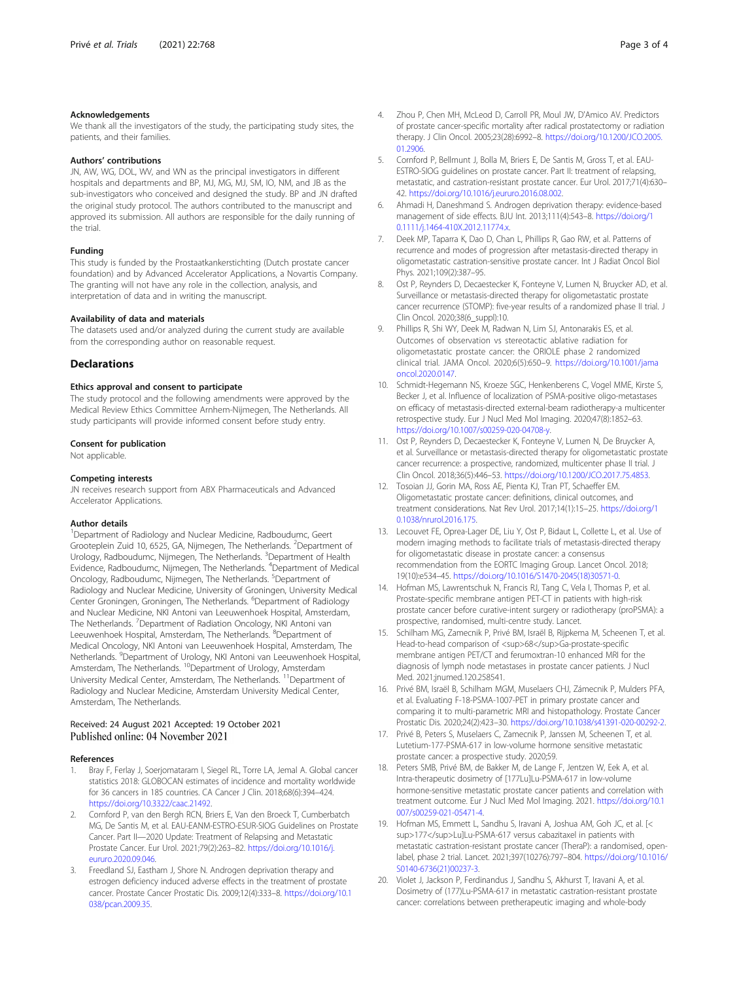#### <span id="page-2-0"></span>Acknowledgements

We thank all the investigators of the study, the participating study sites, the patients, and their families.

#### Authors' contributions

JN, AW, WG, DOL, WV, and WN as the principal investigators in different hospitals and departments and BP, MJ, MG, MJ, SM, IO, NM, and JB as the sub-investigators who conceived and designed the study. BP and JN drafted the original study protocol. The authors contributed to the manuscript and approved its submission. All authors are responsible for the daily running of the trial.

#### Funding

This study is funded by the Prostaatkankerstichting (Dutch prostate cancer foundation) and by Advanced Accelerator Applications, a Novartis Company. The granting will not have any role in the collection, analysis, and interpretation of data and in writing the manuscript.

#### Availability of data and materials

The datasets used and/or analyzed during the current study are available from the corresponding author on reasonable request.

#### **Declarations**

#### Ethics approval and consent to participate

The study protocol and the following amendments were approved by the Medical Review Ethics Committee Arnhem-Nijmegen, The Netherlands. All study participants will provide informed consent before study entry.

#### Consent for publication

Not applicable.

#### Competing interests

JN receives research support from ABX Pharmaceuticals and Advanced Accelerator Applications.

#### Author details

<sup>1</sup>Department of Radiology and Nuclear Medicine, Radboudumc, Geert Grooteplein Zuid 10, 6525, GA, Nijmegen, The Netherlands. <sup>2</sup>Department of Urology, Radboudumc, Nijmegen, The Netherlands. <sup>3</sup>Department of Health Evidence, Radboudumc, Nijmegen, The Netherlands. <sup>4</sup>Department of Medical Oncology, Radboudumc, Nijmegen, The Netherlands. <sup>5</sup>Department of Radiology and Nuclear Medicine, University of Groningen, University Medical Center Groningen, Groningen, The Netherlands. <sup>6</sup>Department of Radiology and Nuclear Medicine, NKI Antoni van Leeuwenhoek Hospital, Amsterdam, The Netherlands. <sup>7</sup>Department of Radiation Oncology, NKI Antoni van Leeuwenhoek Hospital, Amsterdam, The Netherlands. <sup>8</sup>Department of Medical Oncology, NKI Antoni van Leeuwenhoek Hospital, Amsterdam, The Netherlands. <sup>9</sup>Department of Urology, NKI Antoni van Leeuwenhoek Hospital, Amsterdam, The Netherlands. <sup>10</sup>Department of Urology, Amsterdam University Medical Center, Amsterdam, The Netherlands.<sup>11</sup>Department of Radiology and Nuclear Medicine, Amsterdam University Medical Center, Amsterdam, The Netherlands.

#### Received: 24 August 2021 Accepted: 19 October 2021 Published online: 04 November 2021

#### References

- Bray F, Ferlay J, Soerjomataram I, Siegel RL, Torre LA, Jemal A. Global cancer statistics 2018: GLOBOCAN estimates of incidence and mortality worldwide for 36 cancers in 185 countries. CA Cancer J Clin. 2018;68(6):394–424. [https://doi.org/10.3322/caac.21492.](https://doi.org/10.3322/caac.21492)
- 2. Cornford P, van den Bergh RCN, Briers E, Van den Broeck T, Cumberbatch MG, De Santis M, et al. EAU-EANM-ESTRO-ESUR-SIOG Guidelines on Prostate Cancer. Part II—2020 Update: Treatment of Relapsing and Metastatic Prostate Cancer. Eur Urol. 2021;79(2):263–82. [https://doi.org/10.1016/j.](https://doi.org/10.1016/j.eururo.2020.09.046) [eururo.2020.09.046.](https://doi.org/10.1016/j.eururo.2020.09.046)
- Freedland SJ, Eastham J, Shore N. Androgen deprivation therapy and estrogen deficiency induced adverse effects in the treatment of prostate cancer. Prostate Cancer Prostatic Dis. 2009;12(4):333–8. [https://doi.org/10.1](https://doi.org/10.1038/pcan.2009.35) [038/pcan.2009.35](https://doi.org/10.1038/pcan.2009.35).
- 5. Cornford P, Bellmunt J, Bolla M, Briers E, De Santis M, Gross T, et al. EAU-ESTRO-SIOG guidelines on prostate cancer. Part II: treatment of relapsing, metastatic, and castration-resistant prostate cancer. Eur Urol. 2017;71(4):630– 42. [https://doi.org/10.1016/j.eururo.2016.08.002.](https://doi.org/10.1016/j.eururo.2016.08.002)
- 6. Ahmadi H, Daneshmand S. Androgen deprivation therapy: evidence-based management of side effects. BJU Int. 2013;111(4):543–8. [https://doi.org/1](https://doi.org/10.1111/j.1464-410X.2012.11774.x) [0.1111/j.1464-410X.2012.11774.x](https://doi.org/10.1111/j.1464-410X.2012.11774.x).
- 7. Deek MP, Taparra K, Dao D, Chan L, Phillips R, Gao RW, et al. Patterns of recurrence and modes of progression after metastasis-directed therapy in oligometastatic castration-sensitive prostate cancer. Int J Radiat Oncol Biol Phys. 2021;109(2):387–95.
- Ost P, Reynders D, Decaestecker K, Fonteyne V, Lumen N, Bruycker AD, et al. Surveillance or metastasis-directed therapy for oligometastatic prostate cancer recurrence (STOMP): five-year results of a randomized phase II trial. J Clin Oncol. 2020;38(6\_suppl):10.
- 9. Phillips R, Shi WY, Deek M, Radwan N, Lim SJ, Antonarakis ES, et al. Outcomes of observation vs stereotactic ablative radiation for oligometastatic prostate cancer: the ORIOLE phase 2 randomized clinical trial. JAMA Oncol. 2020;6(5):650–9. [https://doi.org/10.1001/jama](https://doi.org/10.1001/jamaoncol.2020.0147) [oncol.2020.0147.](https://doi.org/10.1001/jamaoncol.2020.0147)
- 10. Schmidt-Hegemann NS, Kroeze SGC, Henkenberens C, Vogel MME, Kirste S, Becker J, et al. Influence of localization of PSMA-positive oligo-metastases on efficacy of metastasis-directed external-beam radiotherapy-a multicenter retrospective study. Eur J Nucl Med Mol Imaging. 2020;47(8):1852–63. <https://doi.org/10.1007/s00259-020-04708-y>.
- 11. Ost P, Reynders D, Decaestecker K, Fonteyne V, Lumen N, De Bruycker A, et al. Surveillance or metastasis-directed therapy for oligometastatic prostate cancer recurrence: a prospective, randomized, multicenter phase II trial. J Clin Oncol. 2018;36(5):446–53. [https://doi.org/10.1200/JCO.2017.75.4853.](https://doi.org/10.1200/JCO.2017.75.4853)
- 12. Tosoian JJ, Gorin MA, Ross AE, Pienta KJ, Tran PT, Schaeffer EM. Oligometastatic prostate cancer: definitions, clinical outcomes, and treatment considerations. Nat Rev Urol. 2017;14(1):15–25. [https://doi.org/1](https://doi.org/10.1038/nrurol.2016.175) [0.1038/nrurol.2016.175.](https://doi.org/10.1038/nrurol.2016.175)
- 13. Lecouvet FE, Oprea-Lager DE, Liu Y, Ost P, Bidaut L, Collette L, et al. Use of modern imaging methods to facilitate trials of metastasis-directed therapy for oligometastatic disease in prostate cancer: a consensus recommendation from the EORTC Imaging Group. Lancet Oncol. 2018; 19(10):e534–45. [https://doi.org/10.1016/S1470-2045\(18\)30571-0.](https://doi.org/10.1016/S1470-2045(18)30571-0)
- 14. Hofman MS, Lawrentschuk N, Francis RJ, Tang C, Vela I, Thomas P, et al. Prostate-specific membrane antigen PET-CT in patients with high-risk prostate cancer before curative-intent surgery or radiotherapy (proPSMA): a prospective, randomised, multi-centre study. Lancet.
- 15. Schilham MG, Zamecnik P, Privé BM, Israël B, Rijpkema M, Scheenen T, et al. Head-to-head comparison of <sup>68</sup>Ga-prostate-specific membrane antigen PET/CT and ferumoxtran-10 enhanced MRI for the diagnosis of lymph node metastases in prostate cancer patients. J Nucl Med. 2021;jnumed.120.258541.
- 16. Privé BM, Israël B, Schilham MGM, Muselaers CHJ, Zámecnik P, Mulders PFA, et al. Evaluating F-18-PSMA-1007-PET in primary prostate cancer and comparing it to multi-parametric MRI and histopathology. Prostate Cancer Prostatic Dis. 2020;24(2):423–30. [https://doi.org/10.1038/s41391-020-00292-2.](https://doi.org/10.1038/s41391-020-00292-2)
- 17. Privé B, Peters S, Muselaers C, Zamecnik P, Janssen M, Scheenen T, et al. Lutetium-177-PSMA-617 in low-volume hormone sensitive metastatic prostate cancer: a prospective study. 2020;59.
- 18. Peters SMB, Privé BM, de Bakker M, de Lange F, Jentzen W, Eek A, et al. Intra-therapeutic dosimetry of [177Lu]Lu-PSMA-617 in low-volume hormone-sensitive metastatic prostate cancer patients and correlation with treatment outcome. Eur J Nucl Med Mol Imaging. 2021. [https://doi.org/10.1](https://doi.org/10.1007/s00259-021-05471-4) [007/s00259-021-05471-4](https://doi.org/10.1007/s00259-021-05471-4).
- 19. Hofman MS, Emmett L, Sandhu S, Iravani A, Joshua AM, Goh JC, et al. [< sup>177</sup>Lu]Lu-PSMA-617 versus cabazitaxel in patients with metastatic castration-resistant prostate cancer (TheraP): a randomised, openlabel, phase 2 trial. Lancet. 2021;397(10276):797–804. [https://doi.org/10.1016/](https://doi.org/10.1016/S0140-6736(21)00237-3) [S0140-6736\(21\)00237-3](https://doi.org/10.1016/S0140-6736(21)00237-3).
- 20. Violet J, Jackson P, Ferdinandus J, Sandhu S, Akhurst T, Iravani A, et al. Dosimetry of (177)Lu-PSMA-617 in metastatic castration-resistant prostate cancer: correlations between pretherapeutic imaging and whole-body